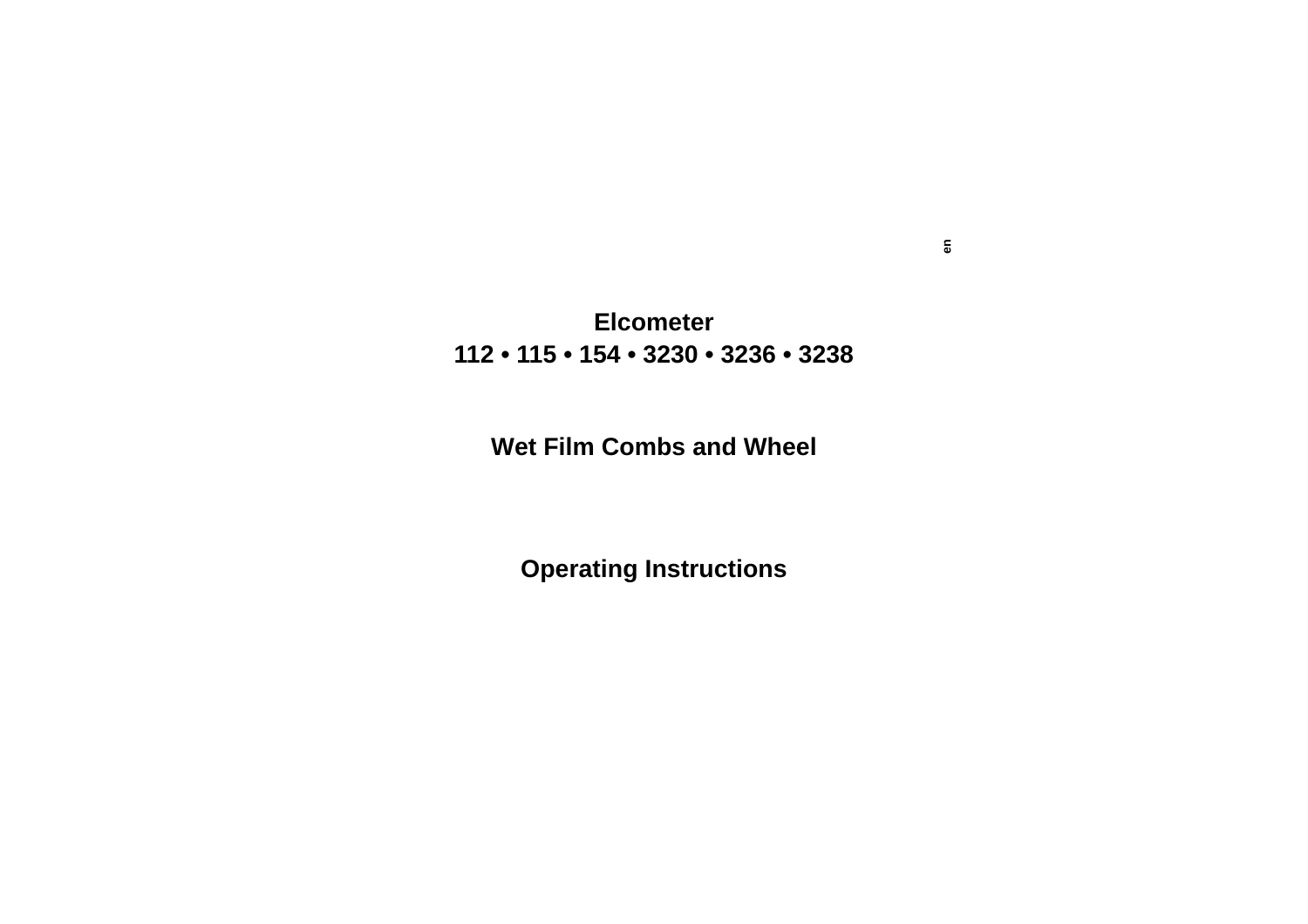# **Elcometer112 • 115 • 154 • 3230 • 3236 • 3238**

# **Wet Film Combs and Wheel**

**Operating Instructions**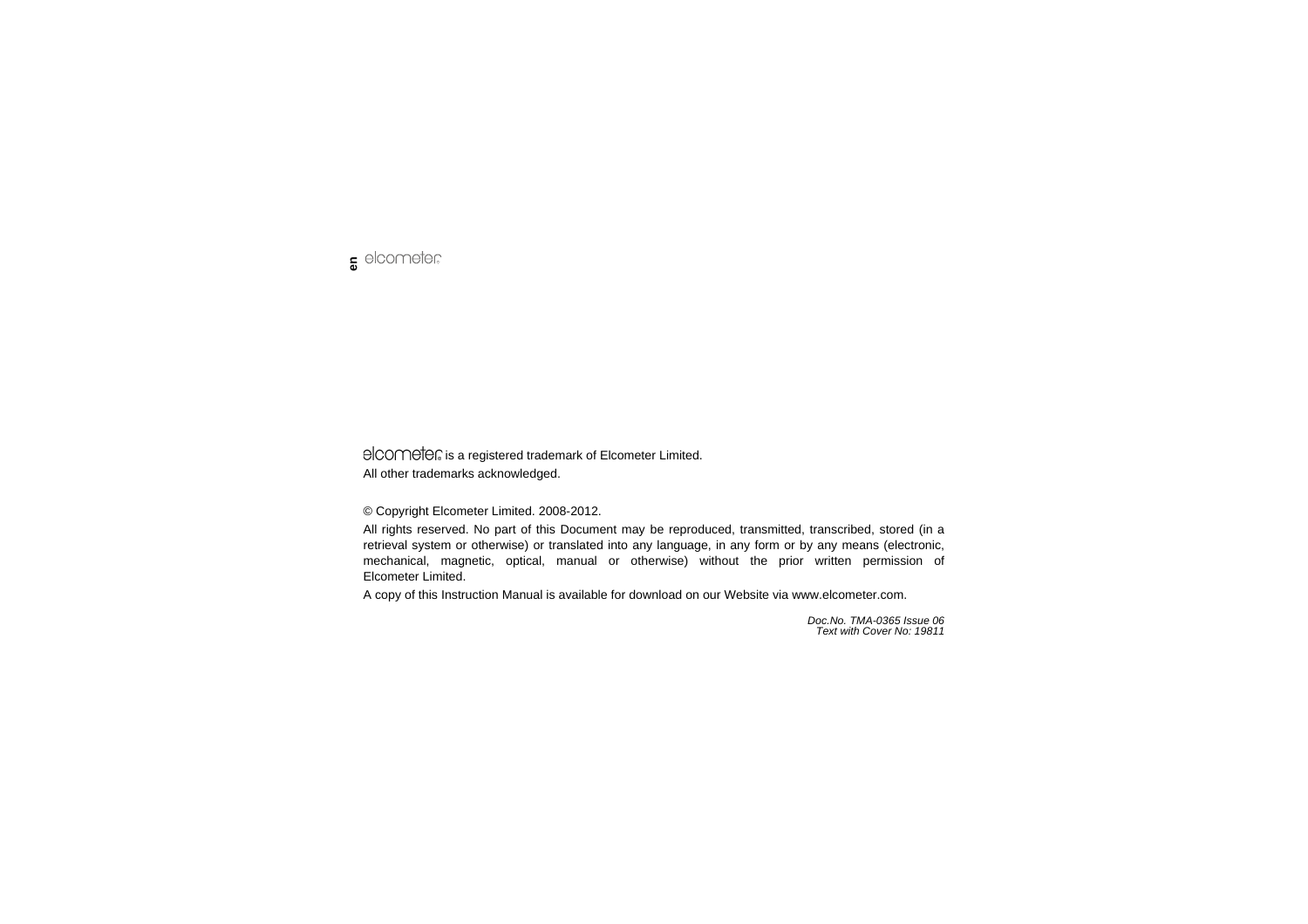

elcomete is a registered trademark of Elcometer Limited. All other trademarks acknowledged.

© Copyright Elcometer Limited. 2008-2012.

All rights reserved. No part of this Document may be reproduced, transmitted, transcribed, stored (in a retrieval system or otherwise) or translated into any language, in any form or by any means (electronic, mechanical, magnetic, optical, manual or otherwise) without the prior written permission of Elcometer Limited.

A copy of this Instruction Manual is available for download on our Website via [www.elcometer.com.](http://www.elcometer.com/downloads)

*Doc.No. TMA-0365 Issue 06Text with Cover No: 19811*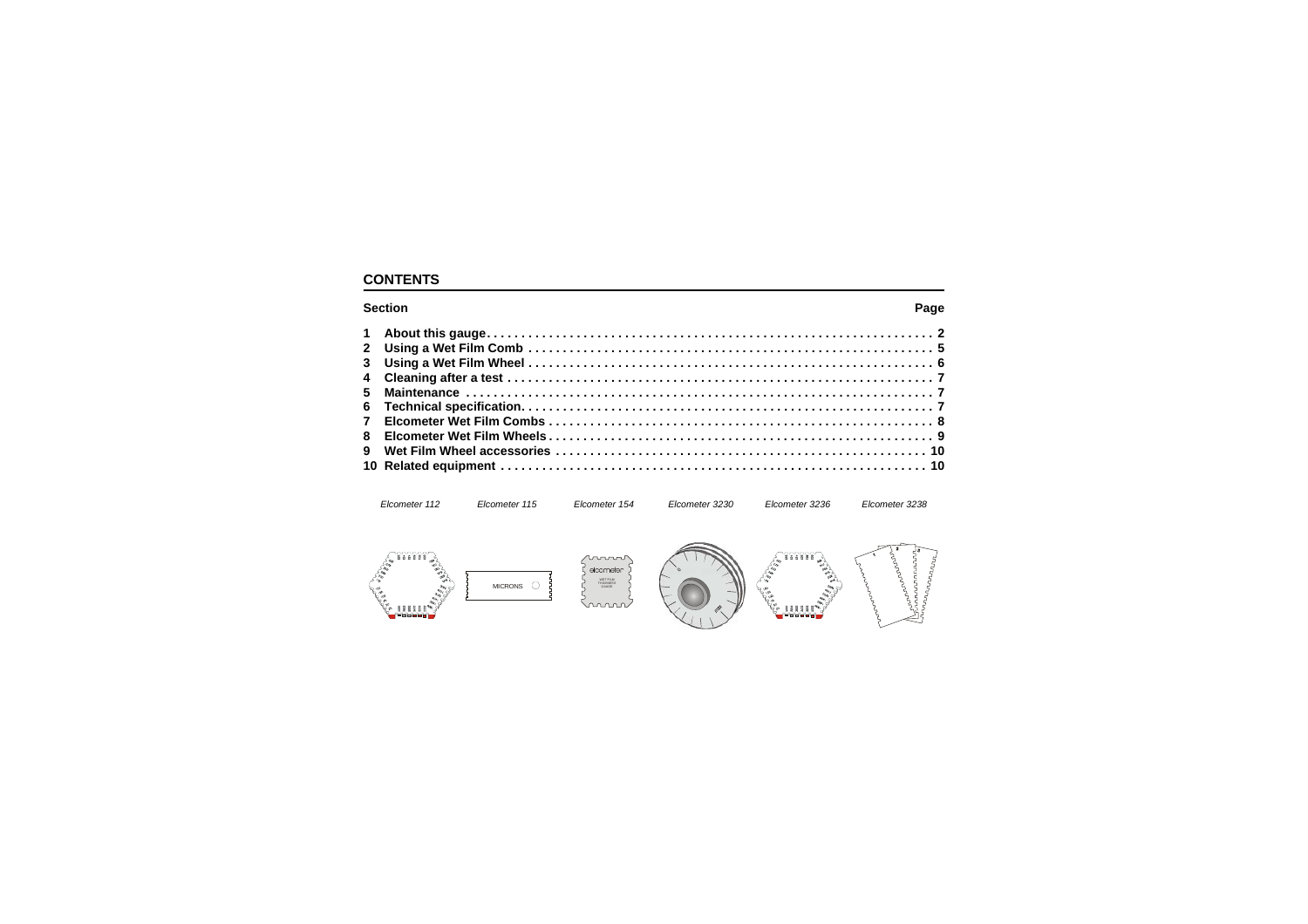# **CONTENTS**

#### **n** Base of the Contract of the Contract of the Contract of the Contract of the Contract of the Contract of the Contract of the Contract of the Contract of the Contract of the Contract of the Contract of the Contract of th

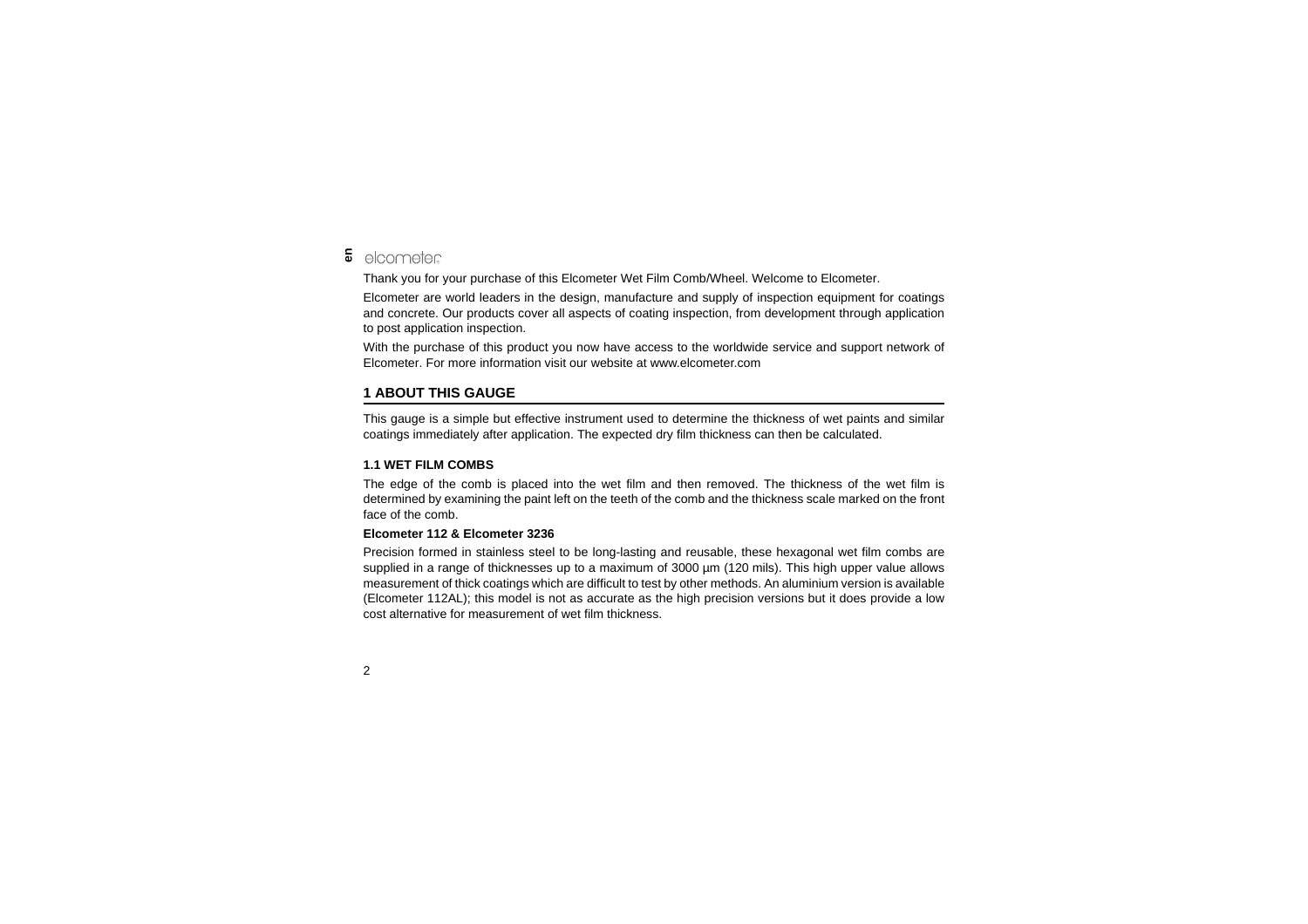#### elcometer **en**

Thank you for your purchase of this Elcometer Wet Film Comb/Wheel. Welcome to Elcometer.

Elcometer are world leaders in the design, manufacture and supply of inspection equipment for coatings and concrete. Our products cover all aspects of coating inspection, from development through application to post application inspection.

With the purchase of this product you now have access to the worldwide service and support network of Elcometer. For more information visit our website at [www.elcometer.com](http://www.elcometer.com)

## <span id="page-3-0"></span>**1 ABOUT THIS GAUGE**

This gauge is a simple but effective instrument used to determine the thickness of wet paints and similar coatings immediately after application. The expected dry film thickness can then be calculated.

#### **1.1 WET FILM COMBS**

The edge of the comb is placed into the wet film and then removed. The thickness of the wet film is determined by examining the paint left on the teeth of the comb and the thickness scale marked on the front face of the comb.

#### **Elcometer 112 & Elcometer 3236**

Precision formed in stainless steel to be long-lasting and reusable, these hexagonal wet film combs are supplied in a range of thicknesses up to a maximum of 3000  $\mu$ m (120 mils). This high upper value allows measurement of thick coatings which are difficult to test by other methods. An aluminium version is available (Elcometer 112AL); this model is not as accurate as the high precision versions but it does provide a low cost alternative for measurement of wet film thickness.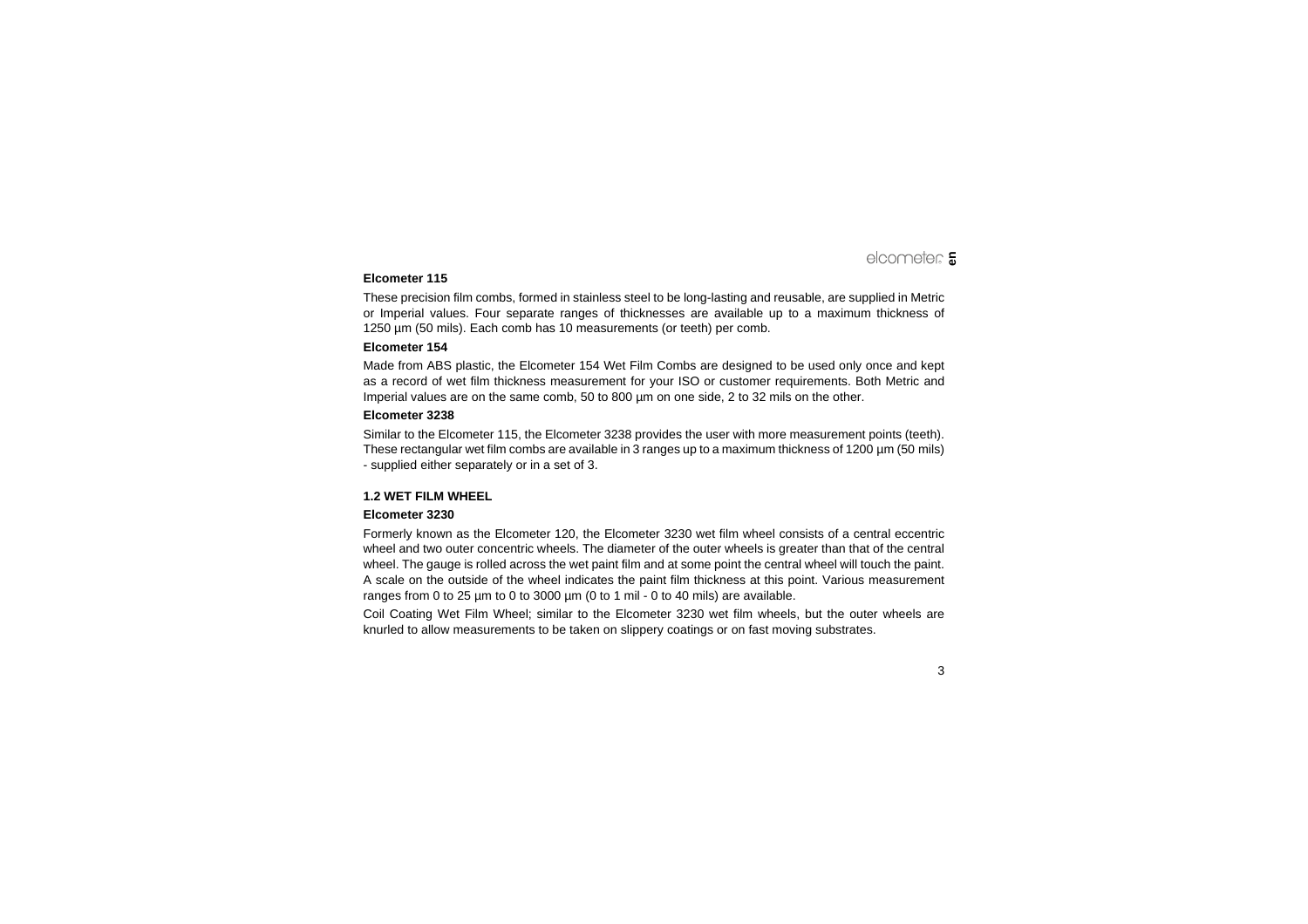#### **Elcometer 115**

These precision film combs, formed in stainless steel to be long-lasting and reusable, are supplied in Metric or Imperial values. Four separate ranges of thicknesses are available up to a maximum thickness of 1250 µm (50 mils). Each comb has 10 measurements (or teeth) per comb.

#### **Elcometer 154**

Made from ABS plastic, the Elcometer 154 Wet Film Combs are designed to be used only once and kept as a record of wet film thickness measurement for your ISO or customer requirements. Both Metric and Imperial values are on the same comb, 50 to 800 µm on one side, 2 to 32 mils on the other.

#### **Elcometer 3238**

Similar to the Elcometer 115, the Elcometer 3238 provides the user with more measurement points (teeth). These rectangular wet film combs are available in 3 ranges up to a maximum thickness of 1200 µm (50 mils) - supplied either separately or in a set of 3.

#### **1.2 WET FILM WHEEL**

#### **Elcometer 3230**

Formerly known as the Elcometer 120, the Elcometer 3230 wet film wheel consists of a central eccentric wheel and two outer concentric wheels. The diameter of the outer wheels is greater than that of the central wheel. The gauge is rolled across the wet paint film and at some point the central wheel will touch the paint. A scale on the outside of the wheel indicates the paint film thickness at this point. Various measurement ranges from 0 to 25 µm to 0 to 3000 µm (0 to 1 mil - 0 to 40 mils) are available.

Coil Coating Wet Film Wheel; similar to the Elcometer 3230 wet film wheels, but the outer wheels are knurled to allow measurements to be taken on slippery coatings or on fast moving substrates.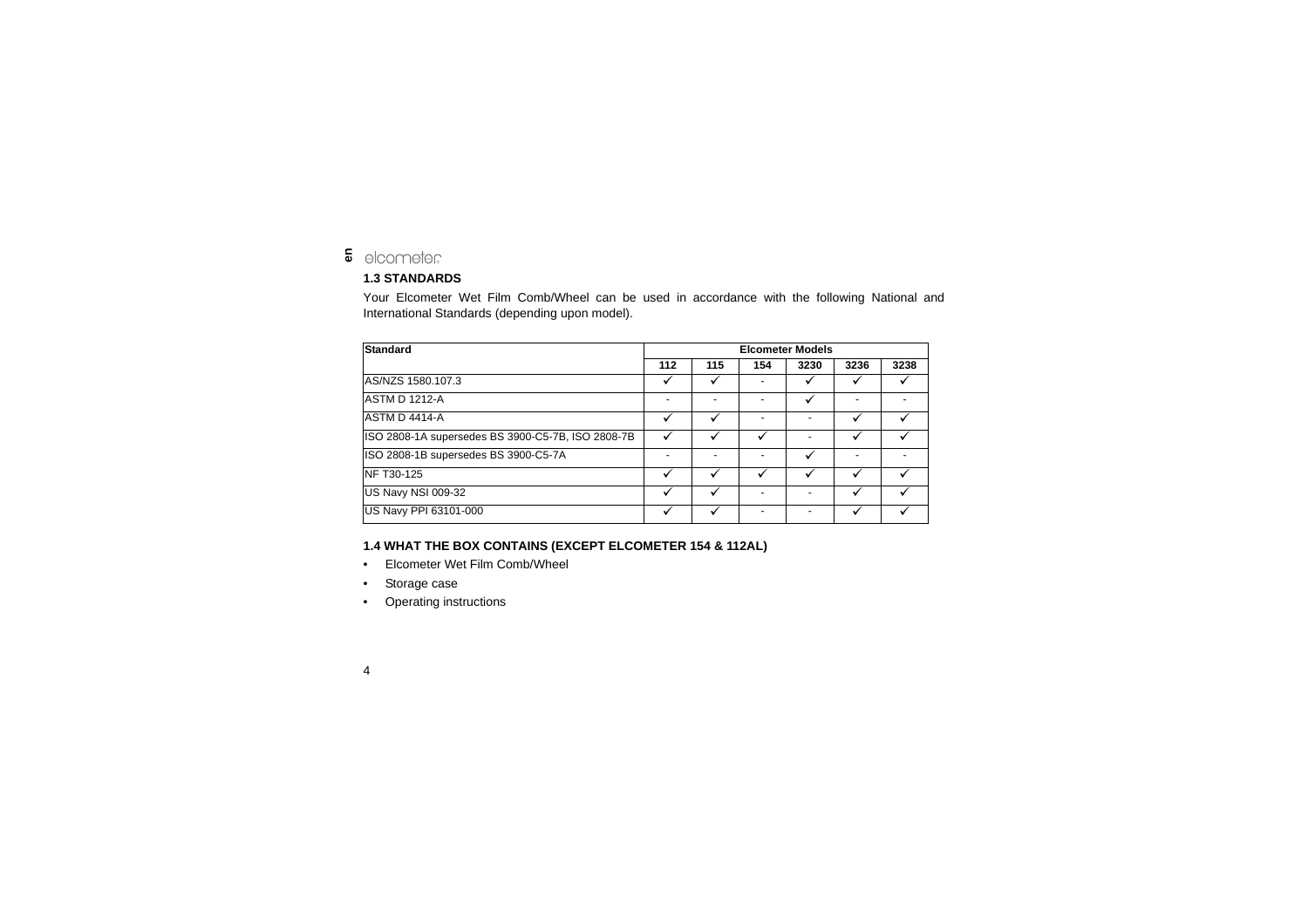#### elcometer **en**

### **1.3 STANDARDS**

Your Elcometer Wet Film Comb/Wheel can be used in accordance with the following National and International Standards (depending upon model).

| Standard                                          |     | <b>Elcometer Models</b> |     |      |      |      |  |
|---------------------------------------------------|-----|-------------------------|-----|------|------|------|--|
|                                                   | 112 | 115                     | 154 | 3230 | 3236 | 3238 |  |
| AS/NZS 1580.107.3                                 |     |                         |     |      |      |      |  |
| <b>ASTM D 1212-A</b>                              | -   |                         |     |      | -    |      |  |
| <b>ASTM D 4414-A</b>                              |     |                         |     |      |      |      |  |
| ISO 2808-1A supersedes BS 3900-C5-7B, ISO 2808-7B |     |                         |     |      |      |      |  |
| ISO 2808-1B supersedes BS 3900-C5-7A              |     |                         |     |      |      |      |  |
| NF T30-125                                        |     |                         |     |      |      |      |  |
| US Navy NSI 009-32                                |     |                         |     |      |      |      |  |
| US Navy PPI 63101-000                             |     |                         |     |      |      |      |  |

### **1.4 WHAT THE BOX CONTAINS (EXCEPT ELCOMETER 154 & 112AL)**

- •Elcometer Wet Film Comb/Wheel
- •Storage case
- •Operating instructions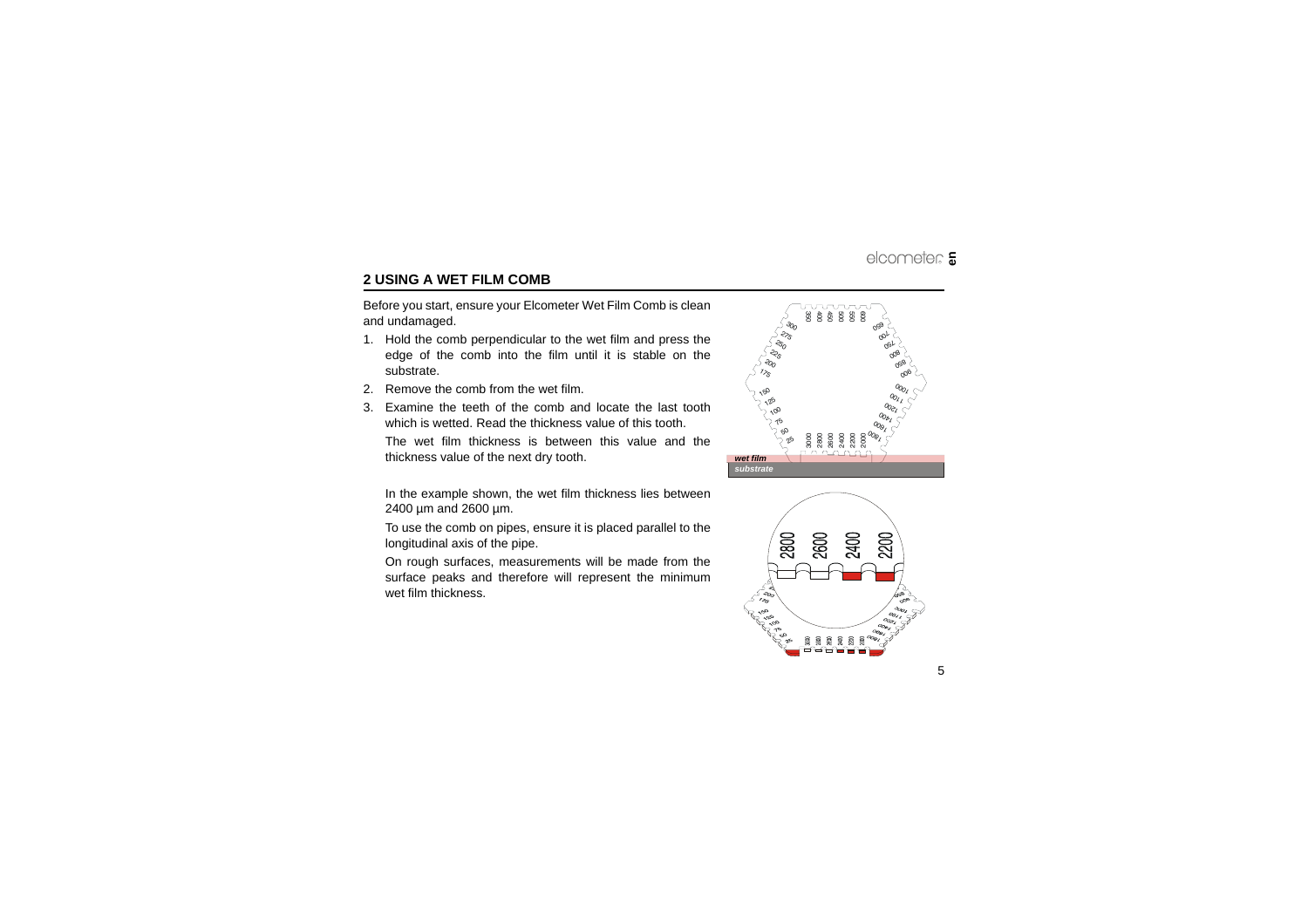# <span id="page-6-0"></span>**2 USING A WET FILM COMB**

Before you start, ensure your Elcometer Wet Film Comb is clean and undamaged.

- 1. Hold the comb perpendicular to the wet film and press the edge of the comb into the film until it is stable on the substrate.
- 2. Remove the comb from the wet film.
- 3. Examine the teeth of the comb and locate the last toothwhich is wetted. Read the thickness value of this tooth.

The wet film thickness is between this value and thethickness value of the next dry tooth.

In the example shown, the wet film thickness lies between µm and 2600 µm.

To use the comb on pipes, ensure it is placed parallel to the longitudinal axis of the pipe.

On rough surfaces, measurements will be made from the surface peaks and therefore will represent the minimum wet film thickness.



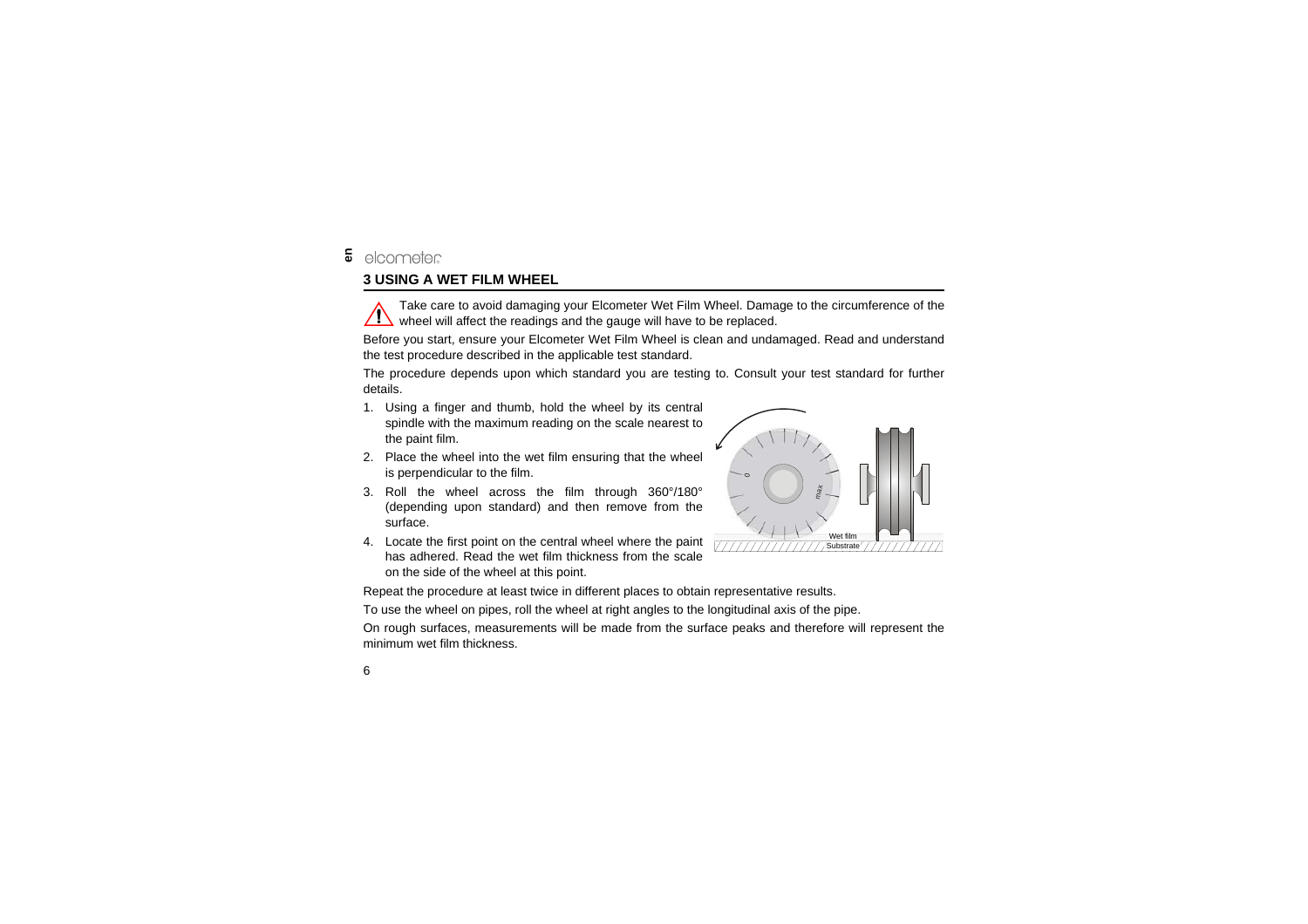# <span id="page-7-0"></span>**3 USING A WET FILM WHEEL**

Take care to avoid damaging your Elcometer Wet Film Wheel. Damage to the circumference of the  $\sqrt{!}$  wheel will affect the readings and the gauge will have to be replaced.

Before you start, ensure your Elcometer Wet Film Wheel is clean and undamaged. Read and understand the test procedure described in the applicable test standard.

The procedure depends upon which standard you are testing to. Consult your test standard for further details.

- 1. Using a finger and thumb, hold the wheel by its central spindle with the maximum reading on the scale nearest to the paint film.
- 2. Place the wheel into the wet film ensuring that the wheel is perpendicular to the film.
- 3. Roll the wheel across the film through 360°/180° (depending upon standard) and then remove from the surface.
- 4. Locate the first point on the central wheel where the paint has adhered. Read the wet film thickness from the scaleon the side of the wheel at this point.



Repeat the procedure at least twice in different places to obtain representative results.

To use the wheel on pipes, roll the wheel at right angles to the longitudinal axis of the pipe.

On rough surfaces, measurements will be made from the surface peaks and therefore will represent the minimum wet film thickness.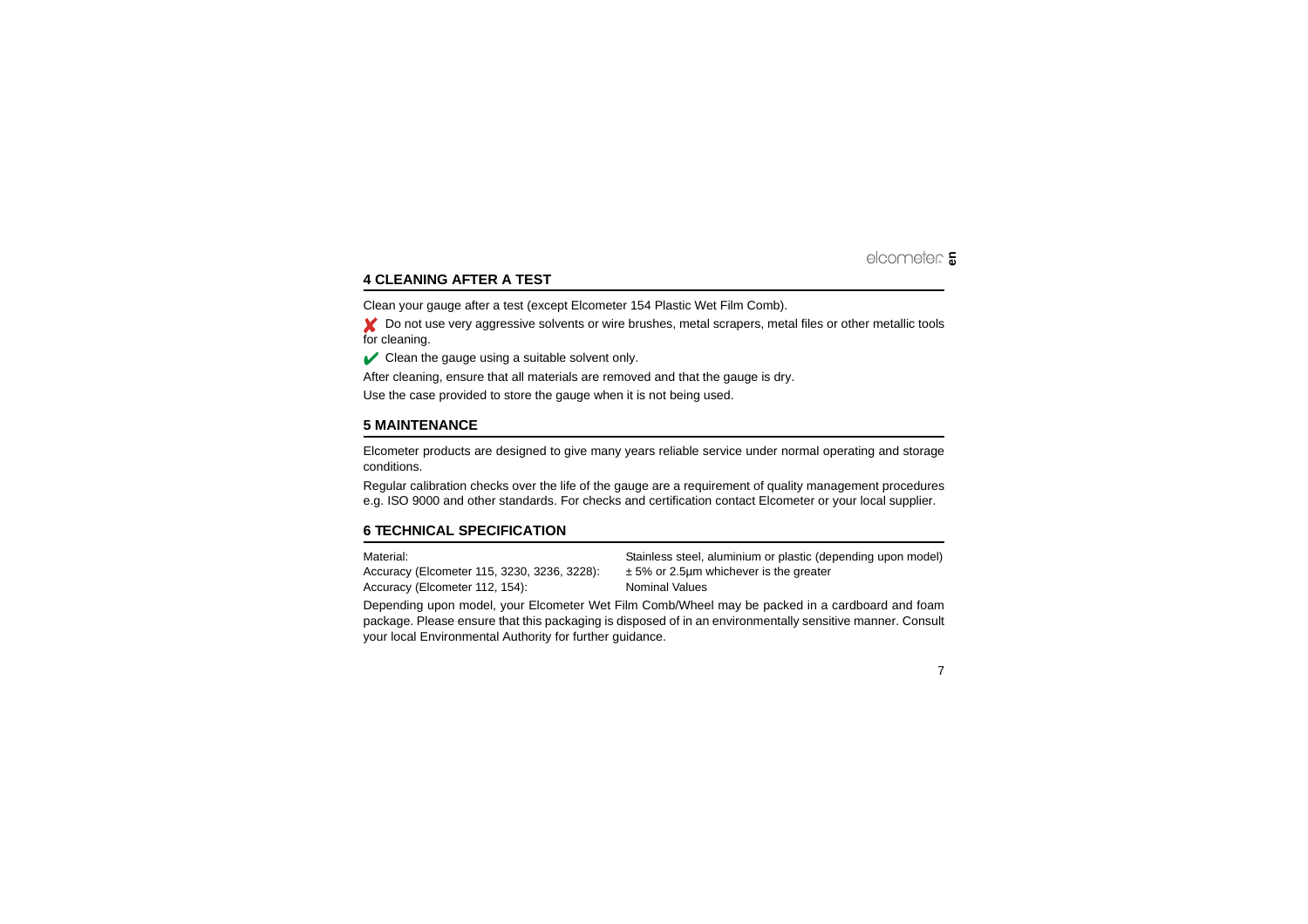# <span id="page-8-0"></span>**4 CLEANING AFTER A TEST**

Clean your gauge after a test (except Elcometer 154 Plastic Wet Film Comb).

★ Do not use very aggressive solvents or wire brushes, metal scrapers, metal files or other metallic tools for cleaning.

 $\triangleright$  Clean the gauge using a suitable solvent only.

After cleaning, ensure that all materials are removed and that the gauge is dry.

Use the case provided to store the gauge when it is not being used.

## <span id="page-8-1"></span>**5 MAINTENANCE**

Elcometer products are designed to give many years reliable service under normal operating and storage conditions.

Regular calibration checks over the life of the gauge are a requirement of quality management procedures e.g. ISO 9000 and other standards. For checks and certification contact Elcometer or your local supplier.

## <span id="page-8-2"></span>**6 TECHNICAL SPECIFICATION**

Accuracy (Elcometer 115, 3230, 3236, 3228):  $\pm$  5% or 2.5µm whichever is the greater Accuracy (Elcometer 112, 154): Nominal Values

Material: Stainless steel, aluminium or plastic (depending upon model)

Depending upon model, your Elcometer Wet Film Comb/Wheel may be packed in a cardboard and foam package. Please ensure that this packaging is disposed of in an environmentally sensitive manner. Consult your local Environmental Authority for further guidance.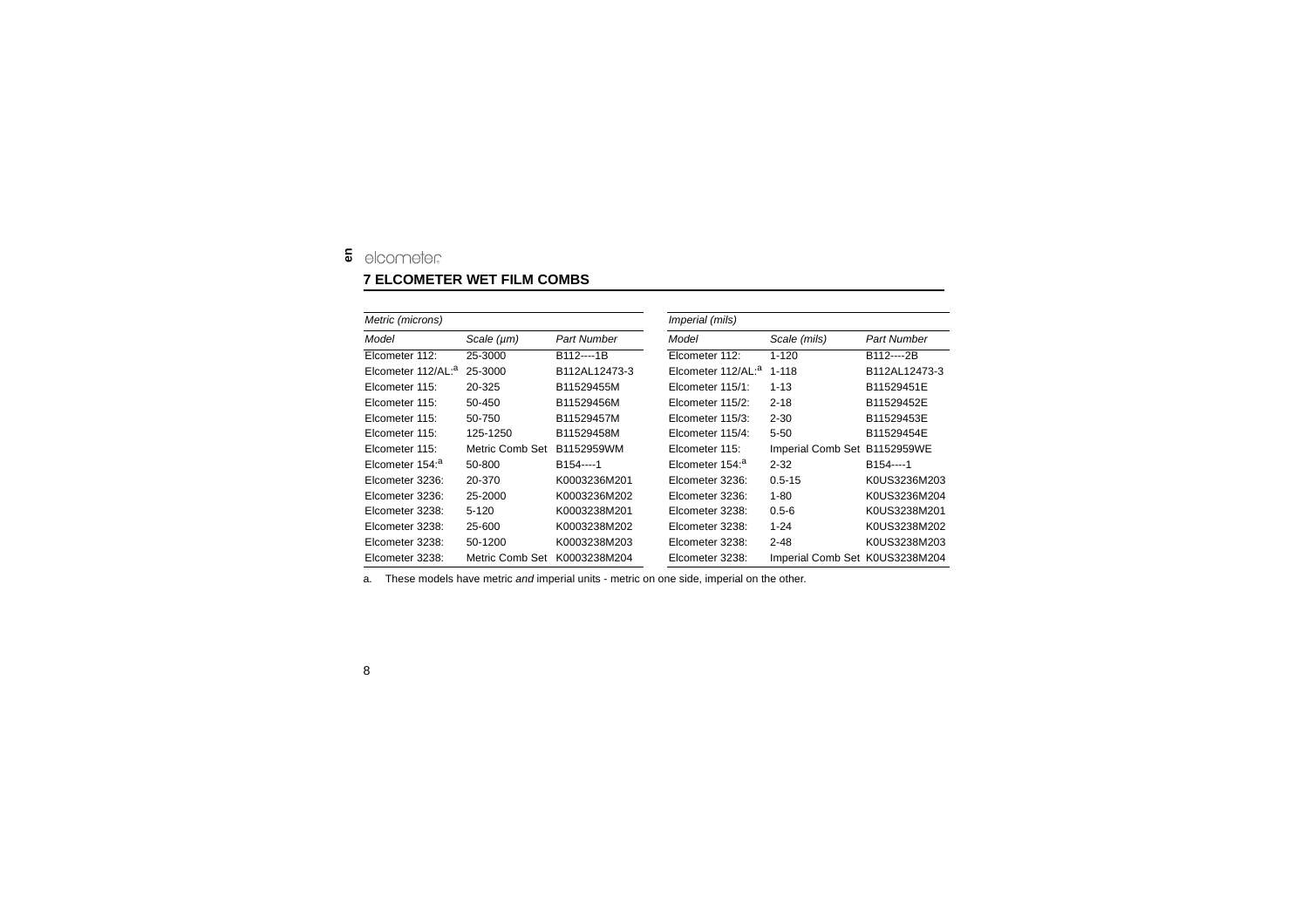# <span id="page-9-0"></span>**7 ELCOMETER WET FILM COMBS**

| Metric (microns)               |                 |                        | Imperial (mils)                |                                |                    |  |
|--------------------------------|-----------------|------------------------|--------------------------------|--------------------------------|--------------------|--|
| Model                          | Scale $(\mu m)$ | Part Number            | Model                          | Scale (mils)                   | <b>Part Number</b> |  |
| Elcometer 112:                 | 25-3000         | B112----1B             | Elcometer 112:                 | $1 - 120$                      | B112----2B         |  |
| Elcometer 112/AL: <sup>a</sup> | 25-3000         | B112AL12473-3          | Elcometer 112/AL: <sup>a</sup> | $1 - 118$                      | B112AL12473-3      |  |
| Elcometer 115:                 | 20-325          | B11529455M             | Elcometer 115/1:               | $1 - 13$                       | B11529451E         |  |
| Elcometer 115:                 | 50-450          | B11529456M             | Elcometer 115/2:               | $2 - 18$                       | B11529452E         |  |
| Elcometer 115:                 | 50-750          | B11529457M             | Elcometer 115/3:               | $2 - 30$                       | B11529453E         |  |
| Elcometer 115:                 | 125-1250        | B11529458M             | Elcometer 115/4:               | $5 - 50$                       | B11529454E         |  |
| Elcometer 115:                 | Metric Comb Set | B1152959WM             | Elcometer 115:                 | <b>Imperial Comb Set</b>       | B1152959WE         |  |
| Elcometer 154: <sup>a</sup>    | 50-800          | B <sub>154</sub> ----1 | Elcometer 154: <sup>a</sup>    | $2 - 32$                       | B154----1          |  |
| Elcometer 3236:                | 20-370          | K0003236M201           | Elcometer 3236:                | $0.5 - 15$                     | K0US3236M203       |  |
| Elcometer 3236:                | 25-2000         | K0003236M202           | Elcometer 3236:                | $1 - 80$                       | K0US3236M204       |  |
| Elcometer 3238:                | $5-120$         | K0003238M201           | Elcometer 3238:                | $0.5 - 6$                      | K0US3238M201       |  |
| Elcometer 3238:                | 25-600          | K0003238M202           | Elcometer 3238:                | $1 - 24$                       | K0US3238M202       |  |
| Elcometer 3238:                | 50-1200         | K0003238M203           | Elcometer 3238:                | $2 - 48$                       | K0US3238M203       |  |
| Elcometer 3238:                | Metric Comb Set | K0003238M204           | Elcometer 3238:                | Imperial Comb Set K0US3238M204 |                    |  |

a. These models have metric *and* imperial units - metric on one side, imperial on the other.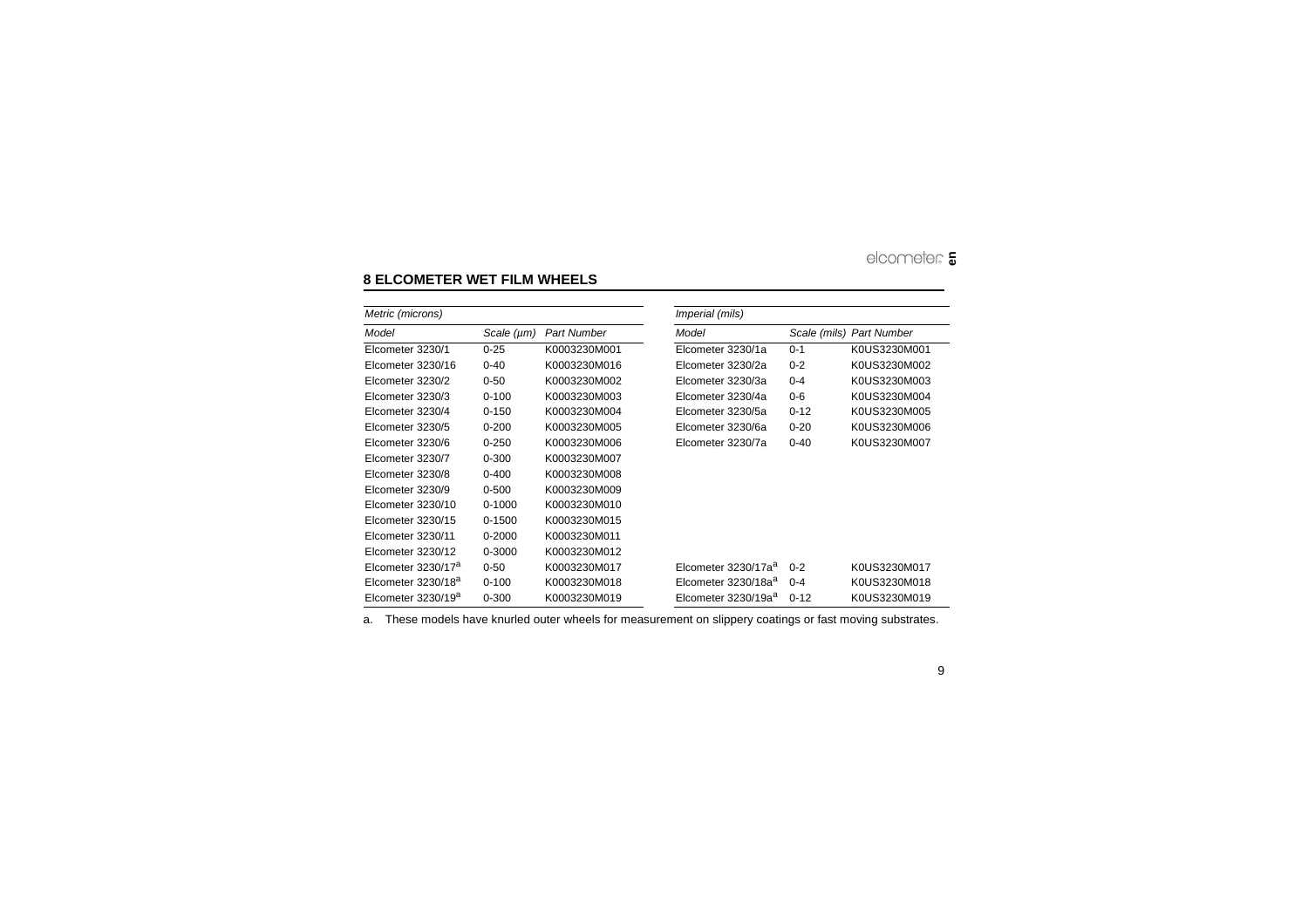# <span id="page-10-0"></span>**8 ELCOMETER WET FILM WHEELS**

| Metric (microns)               |                 |                    | <i>Imperial (mils)</i>          |          |                          |  |
|--------------------------------|-----------------|--------------------|---------------------------------|----------|--------------------------|--|
| Model                          | Scale $(\mu m)$ | <b>Part Number</b> | Model                           |          | Scale (mils) Part Number |  |
| Elcometer 3230/1               | $0 - 25$        | K0003230M001       | Elcometer 3230/1a               | $0 - 1$  | K0US3230M001             |  |
| Elcometer 3230/16              | $0 - 40$        | K0003230M016       | Elcometer 3230/2a               | $0 - 2$  | K0US3230M002             |  |
| Elcometer 3230/2               | $0 - 50$        | K0003230M002       | Elcometer 3230/3a               | $0 - 4$  | K0US3230M003             |  |
| Elcometer 3230/3               | $0 - 100$       | K0003230M003       | Elcometer 3230/4a               | $0 - 6$  | K0US3230M004             |  |
| Elcometer 3230/4               | $0 - 150$       | K0003230M004       | Elcometer 3230/5a               | $0 - 12$ | K0US3230M005             |  |
| Elcometer 3230/5               | $0 - 200$       | K0003230M005       | Elcometer 3230/6a               | $0 - 20$ | K0US3230M006             |  |
| Elcometer 3230/6               | $0 - 250$       | K0003230M006       | Elcometer 3230/7a               | $0 - 40$ | K0US3230M007             |  |
| Elcometer 3230/7               | $0 - 300$       | K0003230M007       |                                 |          |                          |  |
| Elcometer 3230/8               | $0 - 400$       | K0003230M008       |                                 |          |                          |  |
| Elcometer 3230/9               | $0 - 500$       | K0003230M009       |                                 |          |                          |  |
| Elcometer 3230/10              | $0 - 1000$      | K0003230M010       |                                 |          |                          |  |
| Elcometer 3230/15              | 0-1500          | K0003230M015       |                                 |          |                          |  |
| Elcometer 3230/11              | $0 - 2000$      | K0003230M011       |                                 |          |                          |  |
| Elcometer 3230/12              | 0-3000          | K0003230M012       |                                 |          |                          |  |
| Elcometer 3230/17 <sup>a</sup> | $0 - 50$        | K0003230M017       | Elcometer 3230/17a <sup>a</sup> | $0 - 2$  | K0US3230M017             |  |
| Elcometer 3230/18 <sup>a</sup> | $0 - 100$       | K0003230M018       | Elcometer 3230/18a <sup>a</sup> | $0 - 4$  | K0US3230M018             |  |
| Elcometer 3230/19 <sup>a</sup> | $0 - 300$       | K0003230M019       | Elcometer 3230/19a <sup>a</sup> | $0 - 12$ | K0US3230M019             |  |

a. These models have knurled outer wheels for measurement on slippery coatings or fast moving substrates.